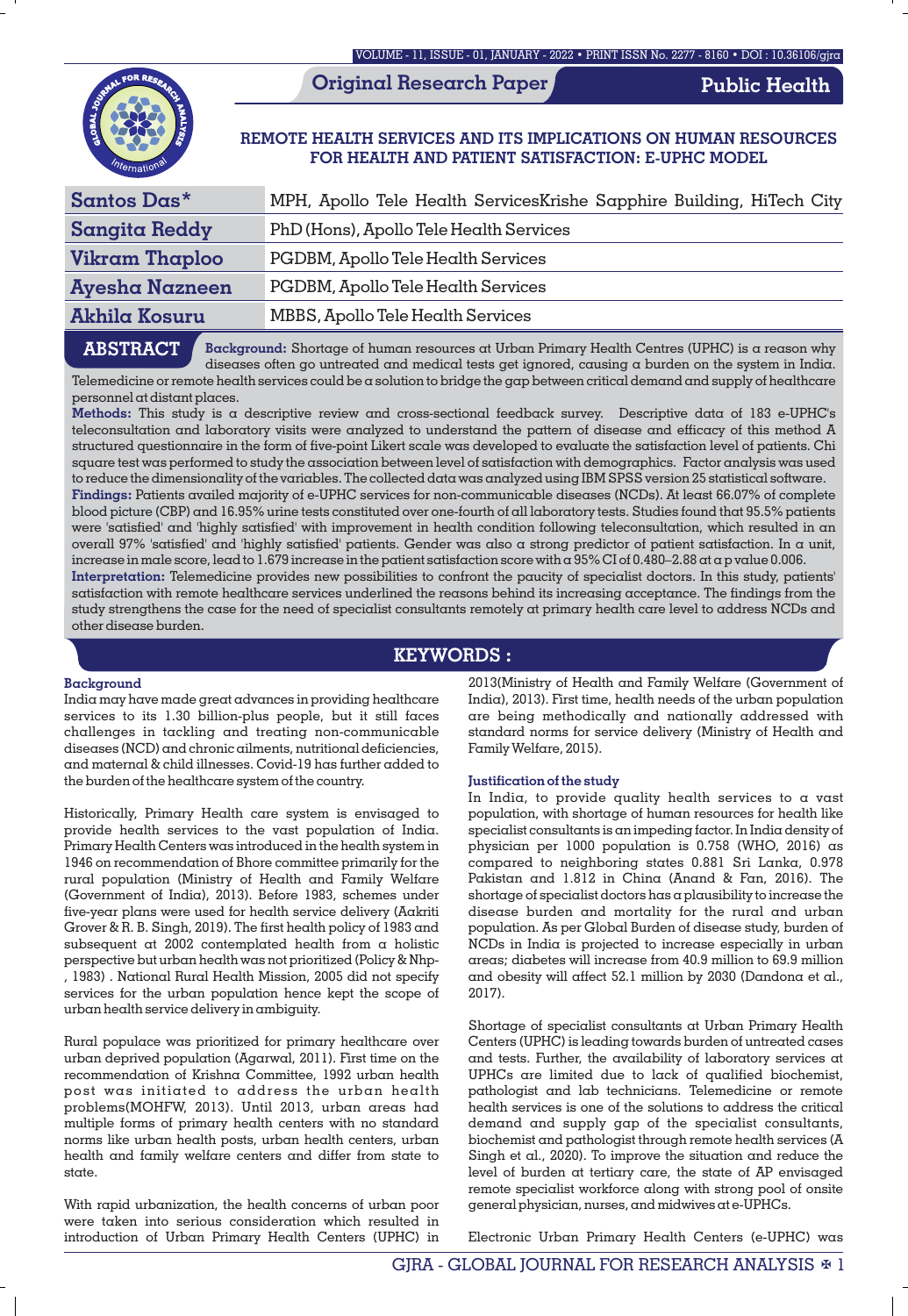**Public Health**

**Original Research Paper**

# **REMOTE HEALTH SERVICES AND ITS IMPLICATIONS ON HUMAN RESOURCES FOR HEALTH AND PATIENT SATISFACTION: E-UPHC MODEL**

| Santos Das*           | MPH, Apollo Tele Health ServicesKrishe Sapphire Building, HiTech City                          |
|-----------------------|------------------------------------------------------------------------------------------------|
| <b>Sangita Reddy</b>  | PhD (Hons), Apollo Tele Health Services                                                        |
| Vikram Thaploo        | PGDBM, Apollo Tele Health Services                                                             |
| <b>Ayesha Nazneen</b> | PGDBM, Apollo Tele Health Services                                                             |
| Akhila Kosuru         | MBBS, Apollo Tele Health Services                                                              |
| <b>ABSTRACT</b>       | Background: Shortage of human resources at Urban Primary Health Centres (UPHC) is a reason why |

**Background:** Shortage of human resources at Urban Primary Health Centres (UPHC) is a reason why diseases often go untreated and medical tests get ignored, causing a burden on the system in India. Telemedicine or remote health services could be a solution to bridge the gap between critical demand and supply of healthcare

personnel at distant places.

**Methods:** This study is a descriptive review and cross-sectional feedback survey. Descriptive data of 183 e-UPHC's teleconsultation and laboratory visits were analyzed to understand the pattern of disease and efficacy of this method A structured questionnaire in the form of five-point Likert scale was developed to evaluate the satisfaction level of patients. Chi square test was performed to study the association between level of satisfaction with demographics. Factor analysis was used to reduce the dimensionality of the variables. The collected data was analyzed using IBM SPSS version 25 statistical software. **Findings:** Patients availed majority of e-UPHC services for non-communicable diseases (NCDs). At least 66.07% of complete blood picture (CBP) and 16.95% urine tests constituted over one-fourth of all laboratory tests. Studies found that 95.5% patients were 'satisfied' and 'highly satisfied' with improvement in health condition following teleconsultation, which resulted in an overall 97% 'satisfied' and 'highly satisfied' patients. Gender was also a strong predictor of patient satisfaction. In a unit, increase in male score, lead to 1.679 increase in the patient satisfaction score with a 95% CI of 0.480–2.88 at a p value 0.006. **Interpretation:** Telemedicine provides new possibilities to confront the paucity of specialist doctors. In this study, patients' satisfaction with remote healthcare services underlined the reasons behind its increasing acceptance. The findings from the study strengthens the case for the need of specialist consultants remotely at primary health care level to address NCDs and other disease burden.

# **KEYWORDS :**

# **Background**

India may have made great advances in providing healthcare services to its 1.30 billion-plus people, but it still faces challenges in tackling and treating non-communicable diseases (NCD) and chronic ailments, nutritional deficiencies, and maternal & child illnesses. Covid-19 has further added to the burden of the healthcare system of the country.

Historically, Primary Health care system is envisaged to provide health services to the vast population of India. Primary Health Centers was introduced in the health system in 1946 on recommendation of Bhore committee primarily for the rural population (Ministry of Health and Family Welfare (Government of India), 2013). Before 1983, schemes under five-year plans were used for health service delivery (Aakriti Grover & R. B. Singh, 2019). The first health policy of 1983 and subsequent at 2002 contemplated health from a holistic perspective but urban health was not prioritized (Policy & Nhp- , 1983) . National Rural Health Mission, 2005 did not specify services for the urban population hence kept the scope of urban health service delivery in ambiguity.

Rural populace was prioritized for primary healthcare over urban deprived population (Agarwal, 2011). First time on the recommendation of Krishna Committee, 1992 urban health post was initiated to address the urban health problems(MOHFW, 2013). Until 2013, urban areas had multiple forms of primary health centers with no standard norms like urban health posts, urban health centers, urban health and family welfare centers and differ from state to state.

With rapid urbanization, the health concerns of urban poor were taken into serious consideration which resulted in introduction of Urban Primary Health Centers (UPHC) in

2013(Ministry of Health and Family Welfare (Government of India), 2013). First time, health needs of the urban population are being methodically and nationally addressed with standard norms for service delivery (Ministry of Health and Family Welfare, 2015).

## **Justication of the study**

In India, to provide quality health services to a vast population, with shortage of human resources for health like specialist consultants is an impeding factor. In India density of physician per 1000 population is 0.758 (WHO, 2016) as compared to neighboring states 0.881 Sri Lanka, 0.978 Pakistan and 1.812 in China (Anand & Fan, 2016). The shortage of specialist doctors has a plausibility to increase the disease burden and mortality for the rural and urban population. As per Global Burden of disease study, burden of NCDs in India is projected to increase especially in urban areas; diabetes will increase from 40.9 million to 69.9 million and obesity will affect 52.1 million by 2030 (Dandona et al., 2017).

Shortage of specialist consultants at Urban Primary Health Centers (UPHC) is leading towards burden of untreated cases and tests. Further, the availability of laboratory services at UPHCs are limited due to lack of qualified biochemist, pathologist and lab technicians. Telemedicine or remote health services is one of the solutions to address the critical demand and supply gap of the specialist consultants, biochemist and pathologist through remote health services (A Singh et al., 2020). To improve the situation and reduce the level of burden at tertiary care, the state of AP envisaged remote specialist workforce along with strong pool of onsite general physician, nurses, and midwives at e-UPHCs.

Electronic Urban Primary Health Centers (e-UPHC) was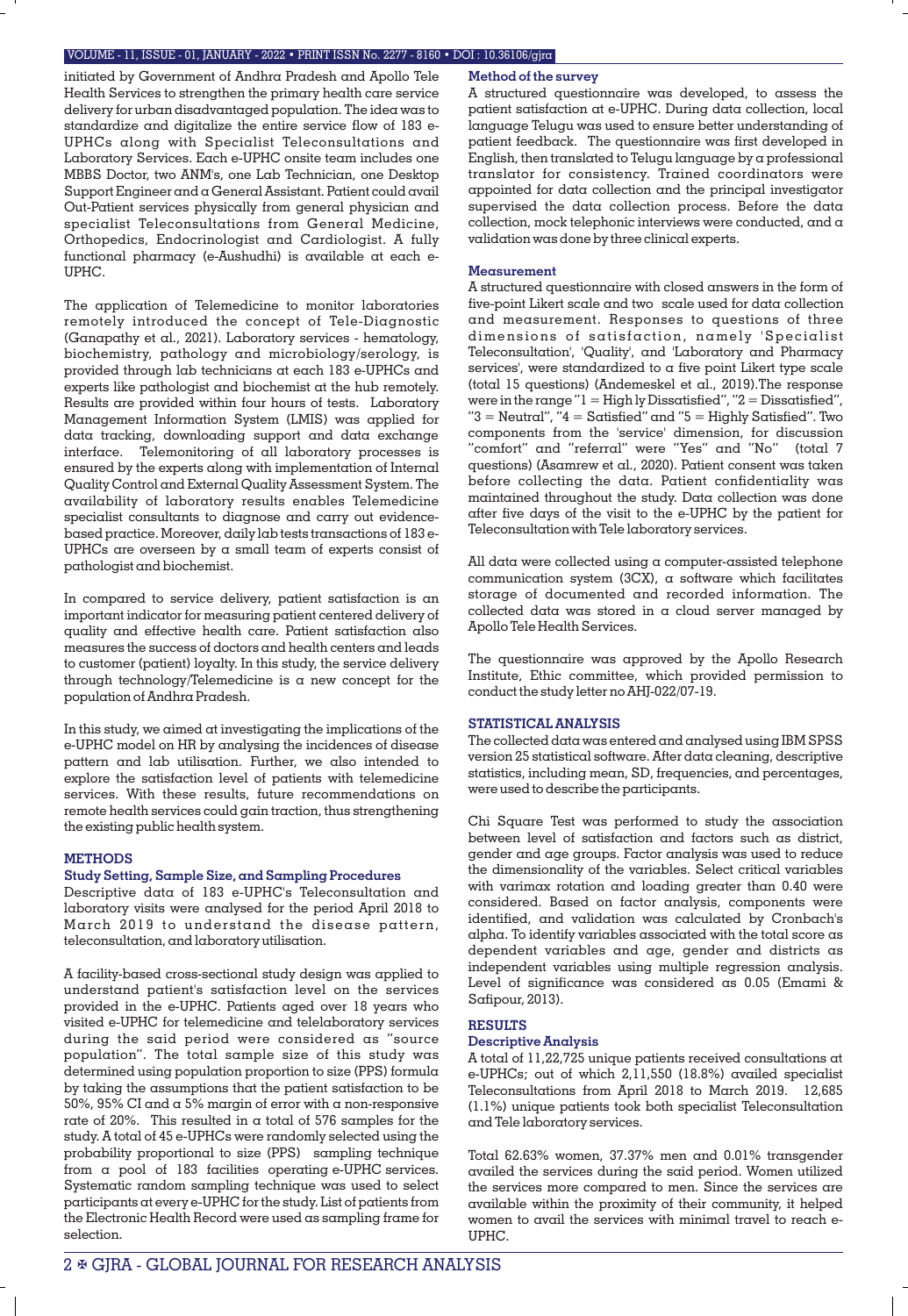initiated by Government of Andhra Pradesh and Apollo Tele Health Services to strengthen the primary health care service delivery for urban disadvantaged population. The idea was to standardize and digitalize the entire service flow of 183 e-UPHCs along with Specialist Teleconsultations and Laboratory Services. Each e-UPHC onsite team includes one MBBS Doctor, two ANM's, one Lab Technician, one Desktop Support Engineer and a General Assistant. Patient could avail Out-Patient services physically from general physician and specialist Teleconsultations from General Medicine, Orthopedics, Endocrinologist and Cardiologist. A fully functional pharmacy (e-Aushudhi) is available at each e-UPHC.

The application of Telemedicine to monitor laboratories remotely introduced the concept of Tele-Diagnostic (Ganapathy et al., 2021). Laboratory services - hematology, biochemistry, pathology and microbiology/serology, is provided through lab technicians at each 183 e-UPHCs and experts like pathologist and biochemist at the hub remotely. Results are provided within four hours of tests. Laboratory Management Information System (LMIS) was applied for data tracking, downloading support and data exchange interface. Telemonitoring of all laboratory processes is ensured by the experts along with implementation of Internal Quality Control and External Quality Assessment System. The availability of laboratory results enables Telemedicine specialist consultants to diagnose and carry out evidencebased practice. Moreover, daily lab tests transactions of 183 e-UPHCs are overseen by a small team of experts consist of pathologist and biochemist.

In compared to service delivery, patient satisfaction is an important indicator for measuring patient centered delivery of quality and effective health care. Patient satisfaction also measures the success of doctors and health centers and leads to customer (patient) loyalty. In this study, the service delivery through technology/Telemedicine is a new concept for the population of Andhra Pradesh.

In this study, we aimed at investigating the implications of the e-UPHC model on HR by analysing the incidences of disease pattern and lab utilisation. Further, we also intended to explore the satisfaction level of patients with telemedicine services. With these results, future recommendations on remote health services could gain traction, thus strengthening the existing public health system.

### **METHODS**

## **Study Setting, Sample Size, and Sampling Procedures**

Descriptive data of 183 e-UPHC's Teleconsultation and laboratory visits were analysed for the period April 2018 to March 2019 to understand the disease pattern, teleconsultation, and laboratory utilisation.

A facility-based cross-sectional study design was applied to understand patient's satisfaction level on the services provided in the e-UPHC. Patients aged over 18 years who visited e-UPHC for telemedicine and telelaboratory services during the said period were considered as "source population". The total sample size of this study was determined using population proportion to size (PPS) formula by taking the assumptions that the patient satisfaction to be 50%, 95% CI and a 5% margin of error with a non-responsive rate of 20%. This resulted in  $\alpha$  total of 576 samples for the study. A total of 45 e-UPHCs were randomly selected using the probability proportional to size (PPS) sampling technique from a pool of 183 facilities operating e-UPHC services. Systematic random sampling technique was used to select participants at every e-UPHC for the study. List of patients from the Electronic Health Record were used as sampling frame for selection.

### **Method of the survey**

A structured questionnaire was developed, to assess the patient satisfaction at e-UPHC. During data collection, local language Telugu was used to ensure better understanding of patient feedback. The questionnaire was first developed in English, then translated to Telugu language by a professional translator for consistency. Trained coordinators were appointed for data collection and the principal investigator supervised the data collection process. Before the data collection, mock telephonic interviews were conducted, and a validation was done by three clinical experts.

### **Measurement**

A structured questionnaire with closed answers in the form of five-point Likert scale and two scale used for data collection and measurement. Responses to questions of three dimensions of satisfaction, namely 'Specialist Teleconsultation', 'Quality', and 'Laboratory and Pharmacy services', were standardized to a five point Likert type scale (total 15 questions) (Andemeskel et al., 2019).The response were in the range " $1 =$  High ly Dissatisfied", " $2 =$  Dissatisfied", " $3$  = Neutral", " $4$  = Satisfied" and " $5$  = Highly Satisfied". Two components from the 'service' dimension, for discussion "comfort" and "referral" were "Yes" and "No" (total 7 questions) (Asamrew et al., 2020). Patient consent was taken before collecting the data. Patient confidentiality was maintained throughout the study. Data collection was done after five days of the visit to the e-UPHC by the patient for Teleconsultation with Tele laboratory services.

All data were collected using a computer-assisted telephone communication system (3CX), a software which facilitates storage of documented and recorded information. The collected data was stored in a cloud server managed by Apollo Tele Health Services.

The questionnaire was approved by the Apollo Research Institute, Ethic committee, which provided permission to conduct the study letter no AHJ-022/07-19.

### **STATISTICAL ANALYSIS**

The collected data was entered and analysed using IBM SPSS version 25 statistical software. After data cleaning, descriptive statistics, including mean, SD, frequencies, and percentages, were used to describe the participants.

Chi Square Test was performed to study the association between level of satisfaction and factors such as district, gender and age groups. Factor analysis was used to reduce the dimensionality of the variables. Select critical variables with varimax rotation and loading greater than 0.40 were considered. Based on factor analysis, components were identified, and validation was calculated by Cronbach's alpha. To identify variables associated with the total score as dependent variables and age, gender and districts as independent variables using multiple regression analysis. Level of signicance was considered as 0.05 (Emami & Safipour, 2013).

### **RESULTS**

### **Descriptive Analysis**

A total of 11,22,725 unique patients received consultations at e-UPHCs; out of which 2,11,550 (18.8%) availed specialist Teleconsultations from April 2018 to March 2019. 12,685 (1.1%) unique patients took both specialist Teleconsultation and Tele laboratory services.

Total 62.63% women, 37.37% men and 0.01% transgender availed the services during the said period. Women utilized the services more compared to men. Since the services are available within the proximity of their community, it helped women to avail the services with minimal travel to reach e-UPHC.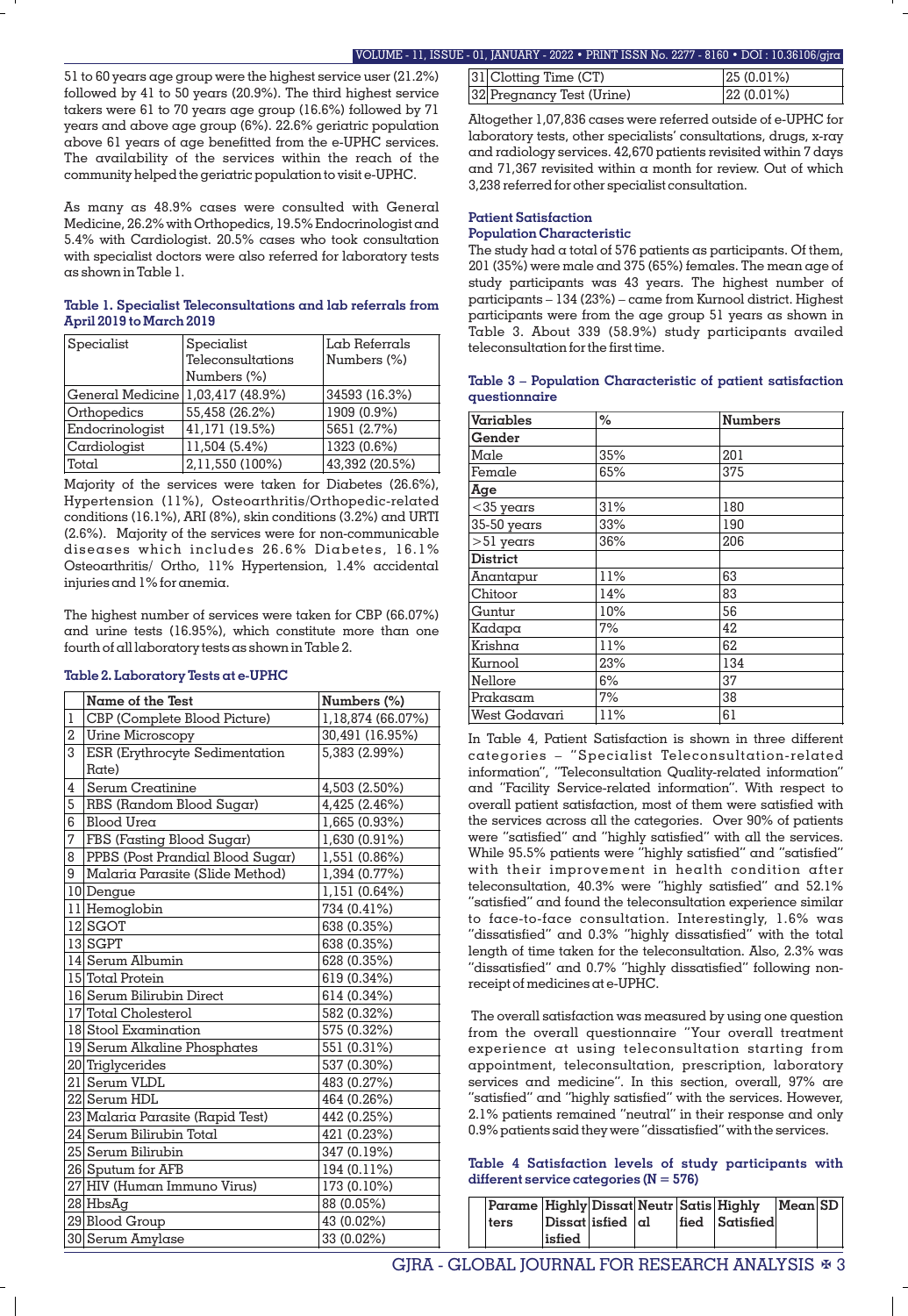51 to 60 years age group were the highest service user (21.2%) followed by 41 to 50 years (20.9%). The third highest service takers were 61 to 70 years age group (16.6%) followed by 71 years and above age group (6%). 22.6% geriatric population above 61 years of age benefitted from the e-UPHC services. The availability of the services within the reach of the community helped the geriatric population to visit e-UPHC.

As many as 48.9% cases were consulted with General Medicine, 26.2% with Orthopedics, 19.5% Endocrinologist and 5.4% with Cardiologist. 20.5% cases who took consultation with specialist doctors were also referred for laboratory tests as shown in Table 1.

### **Table 1. Specialist Teleconsultations and lab referrals from April 2019 to March 2019**

| Specialist       | Specialist        | Lab Referrals  |
|------------------|-------------------|----------------|
|                  | Teleconsultations | Numbers (%)    |
|                  | Numbers (%)       |                |
| General Medicine | 1,03,417 (48.9%)  | 34593 (16.3%)  |
| Orthopedics      | 55,458 (26.2%)    | 1909 (0.9%)    |
| Endocrinologist  | 41,171 (19.5%)    | 5651 (2.7%)    |
| Cardiologist     | 11,504 (5.4%)     | 1323 (0.6%)    |
| Total            | 2,11,550 (100%)   | 43,392 (20.5%) |

Majority of the services were taken for Diabetes (26.6%), Hypertension (11%), Osteoarthritis/Orthopedic-related conditions (16.1%), ARI (8%), skin conditions (3.2%) and URTI (2.6%). Majority of the services were for non-communicable diseases which includes 26.6% Diabetes, 16.1% Osteoarthritis/ Ortho, 11% Hypertension, 1.4% accidental injuries and 1% for anemia.

The highest number of services were taken for CBP (66.07%) and urine tests (16.95%), which constitute more than one fourth of all laboratory tests as shown in Table 2.

### **Table 2. Laboratory Tests at e-UPHC**

|                | Name of the Test                 | Numbers (%)       |
|----------------|----------------------------------|-------------------|
| 1              | CBP (Complete Blood Picture)     | 1,18,874 (66.07%) |
| 2              | <b>Urine Microscopy</b>          | 30,491 (16.95%)   |
| $\overline{3}$ | ESR (Erythrocyte Sedimentation   | 5,383 (2.99%)     |
|                | Rate)                            |                   |
| 4              | Serum Creatinine                 | 4,503 (2.50%)     |
| 5              | RBS (Random Blood Sugar)         | 4,425 (2.46%)     |
| 6              | Blood Urea                       | 1,665 (0.93%)     |
| 7              | FBS (Fasting Blood Sugar)        | 1,630 (0.91%)     |
| 8              | PPBS (Post Prandial Blood Sugar) | 1,551 (0.86%)     |
| 9              | Malaria Parasite (Slide Method)  | 1,394 (0.77%)     |
|                | 10 Dengue                        | 1,151 (0.64%)     |
|                | 11 Hemoglobin                    | 734 (0.41%)       |
|                | 12 SGOT                          | 638 (0.35%)       |
|                | $13$ SGPT                        | 638 (0.35%)       |
|                | 14 Serum Albumin                 | 628 (0.35%)       |
|                | 15 Total Protein                 | 619 (0.34%)       |
|                | 16 Serum Bilirubin Direct        | 614 (0.34%)       |
|                | 17 Total Cholesterol             | 582 (0.32%)       |
|                | 18 Stool Examination             | 575 (0.32%)       |
|                | 19 Serum Alkaline Phosphates     | 551 (0.31%)       |
|                | 20 Triglycerides                 | 537 (0.30%)       |
|                | 21 Serum VLDL                    | 483 (0.27%)       |
|                | 22 Serum HDL                     | 464 (0.26%)       |
|                | 23 Malaria Parasite (Rapid Test) | 442 (0.25%)       |
|                | 24 Serum Bilirubin Total         | 421 (0.23%)       |
|                | 25 Serum Bilirubin               | 347 (0.19%)       |
|                | 26 Sputum for AFB                | 194 (0.11%)       |
|                | 27 HIV (Human Immuno Virus)      | 173 (0.10%)       |
|                | $28$ HbsAg                       | 88 (0.05%)        |
|                | 29 Blood Group                   | 43 (0.02%)        |
|                | 30 Serum Amylase                 | 33 (0.02%)        |

| 31 Clotting Time (CT)     | 25 (0.01%)    |
|---------------------------|---------------|
| 32 Pregnancy Test (Urine) | $ 22(0.01\%)$ |

Altogether 1,07,836 cases were referred outside of e-UPHC for laboratory tests, other specialists' consultations, drugs, x-ray and radiology services. 42,670 patients revisited within 7 days and 71,367 revisited within a month for review. Out of which 3,238 referred for other specialist consultation.

### **Patient Satisfaction Population Characteristic**

The study had a total of 576 patients as participants. Of them, 201 (35%) were male and 375 (65%) females. The mean age of study participants was 43 years. The highest number of participants – 134 (23%) – came from Kurnool district. Highest participants were from the age group 51 years as shown in Table 3. About 339 (58.9%) study participants availed teleconsultation for the first time.

**Table 3 – Population Characteristic of patient satisfaction questionnaire**

| Variables     | %   | <b>Numbers</b> |
|---------------|-----|----------------|
| Gender        |     |                |
| Male          | 35% | 201            |
| Female        | 65% | 375            |
| Age           |     |                |
| $<$ 35 years  | 31% | 180            |
| $35-50$ years | 33% | 190            |
| $>51$ years   | 36% | 206            |
| District      |     |                |
| Anantapur     | 11% | 63             |
| Chitoor       | 14% | 83             |
| Guntur        | 10% | 56             |
| Kadapa        | 7%  | 42             |
| Krishna       | 11% | 62             |
| Kurnool       | 23% | 134            |
| Nellore       | 6%  | 37             |
| Prakasam      | 7%  | 38             |
| West Godavari | 11% | 61             |

In Table 4, Patient Satisfaction is shown in three different categories – "Specialist Teleconsultation-related information", "Teleconsultation Quality-related information" and "Facility Service-related information". With respect to overall patient satisfaction, most of them were satisfied with the services across all the categories. Over 90% of patients were "satisfied" and "highly satisfied" with all the services. While 95.5% patients were "highly satisfied" and "satisfied" with their improvement in health condition after teleconsultation, 40.3% were "highly satisfied" and 52.1% "satised" and found the teleconsultation experience similar to face-to-face consultation. Interestingly, 1.6% was "dissatisfied" and 0.3% "highly dissatisfied" with the total length of time taken for the teleconsultation. Also, 2.3% was "dissatisfied" and 0.7% "highly dissatisfied" following nonreceipt of medicines at e-UPHC.

The overall satisfaction was measured by using one question from the overall questionnaire "Your overall treatment experience at using teleconsultation starting from appointment, teleconsultation, prescription, laboratory services and medicine". In this section, overall, 97% are "satisfied" and "highly satisfied" with the services. However, 2.1% patients remained "neutral" in their response and only 0.9% patients said they were "dissatisfied" with the services.

**Table 4 Satisfaction levels of study participants with different service categories (N = 576)**

|  | Parame Highly Dissat Neutr Satis Highly |                          |  |                | $ \text{Mean} $ SD |  |
|--|-----------------------------------------|--------------------------|--|----------------|--------------------|--|
|  | lters                                   | $ Dissat $ isfied $ al $ |  | fied Satisfied |                    |  |
|  |                                         | lisfied                  |  |                |                    |  |

GIRA - GLOBAL JOURNAL FOR RESEARCH ANALYSIS  $*3$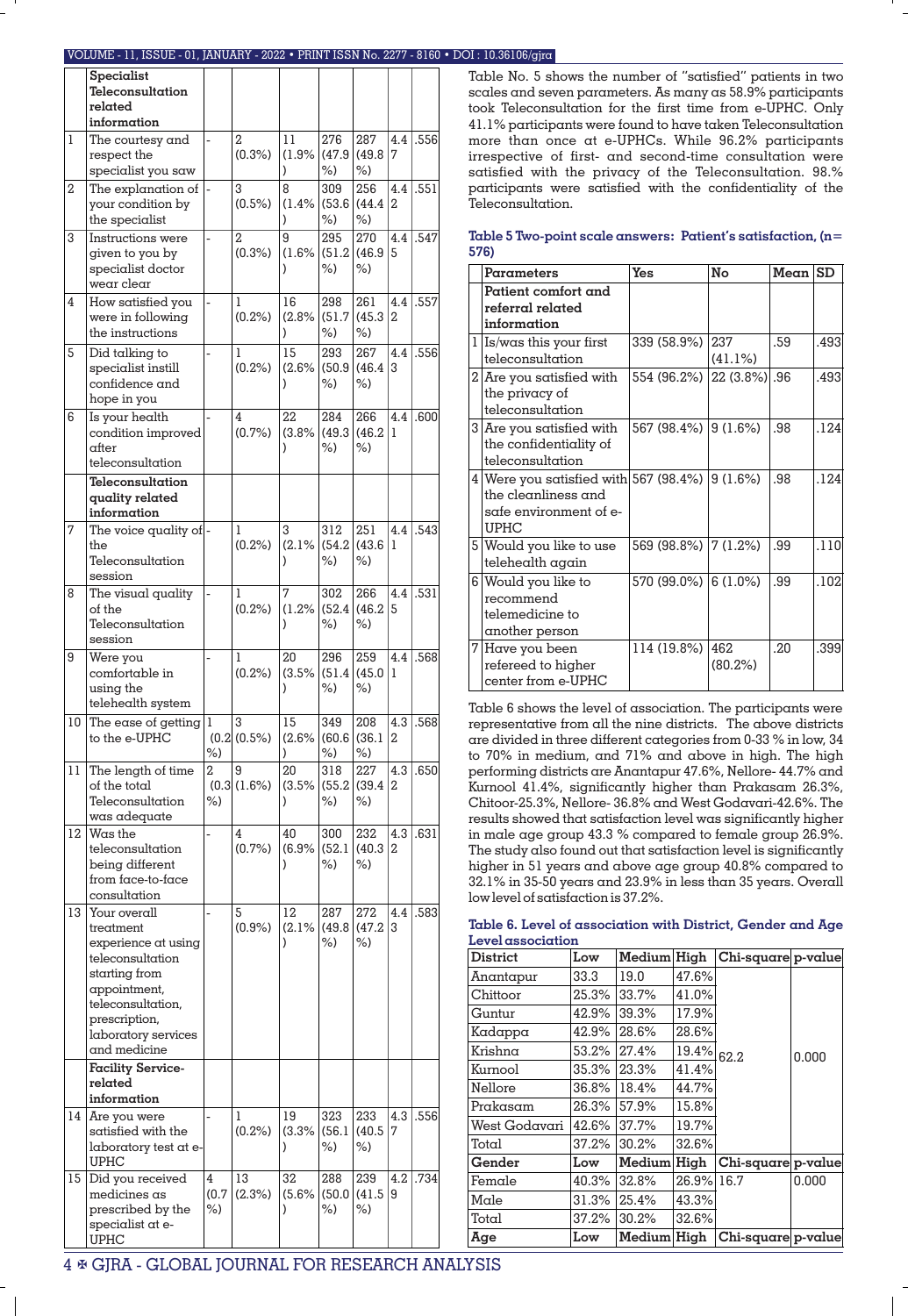#### VOLUME - 11, ISSUE - 01, JANUARY - 2022 • PRINT ISSN No. 2277 - 8160 • DOI : 10.36106/gjra

|    | Specialist<br>Teleconsultation<br>related<br>information                                                                                                                           |                  |                       |                            |                     |                     |                       |              |
|----|------------------------------------------------------------------------------------------------------------------------------------------------------------------------------------|------------------|-----------------------|----------------------------|---------------------|---------------------|-----------------------|--------------|
| ı  | The courtesy and<br>respect the<br>specialist you saw                                                                                                                              |                  | 2<br>$(0.3\%)$        | 11<br>$(1.9\%)(47.9)$<br>) | 276<br>%)           | 287<br>(49.8)<br>%) | 4.4<br>7              | .556         |
| 2  | The explanation of<br>your condition by<br>the specialist                                                                                                                          |                  | 3<br>(0.5%)           | 8<br>$(1.4\%)(53.6)$<br>)  | 309<br>%)           | 256<br>(44.4)<br>%) | 4.4<br>$\overline{2}$ | .551         |
| 3  | Instructions were<br>given to you by<br>specialist doctor<br>wear clear                                                                                                            |                  | 2<br>$(0.3\%)$        | 9<br>$(1.6\%)(51.2)$       | 295<br>%)           | 270<br>(46.9)<br>%) | 4.4<br>5              | .547         |
| 4  | How satisfied you<br>were in following<br>the instructions                                                                                                                         | $\frac{1}{2}$    | 1<br>(0.2% )          | 16<br>$(2.8\%)(51.7)$<br>) | 298<br>%)           | 261<br>(45.3)<br>%  | 4.4<br>2              | .557         |
| 5  | Did talking to<br>specialist instill<br>confidence and<br>hope in you                                                                                                              |                  | 1<br>(0.2% )          | 15<br>$(2.6\%)(50.9)$<br>) | 293<br>%)           | 267<br>(46.4)<br>%  | 4.4<br>3              | .556         |
| 6  | Is your health<br>condition improved<br>after<br>teleconsultation                                                                                                                  |                  | 4<br>(0.7%            | 22<br>(3.8%<br>)           | 284<br>(49.3)<br>%) | 266<br>(46.2)<br>%  | 4.4<br>1              | .600         |
|    | Teleconsultation<br>quality related<br>information                                                                                                                                 |                  |                       |                            |                     |                     |                       |              |
| 7  | The voice quality of -<br>the<br>Teleconsultation<br>session                                                                                                                       |                  | 1<br>(0.2% )          | 3<br>$(2.1\%)(54.2)$<br>)  | 312<br>%)           | 251<br>(43.6)<br>%  | 4.4<br>1              | .543         |
| 8  | The visual quality<br>of the<br>Teleconsultation<br>session                                                                                                                        |                  | 1<br>(0.2% )          | 7<br>(1.2%<br>)            | 302<br>(52.4)<br>%) | 266<br>(46.2)<br>%  | 4.4<br>5              | .531         |
| 9  | Were you<br>comfortable in<br>using the<br>telehealth system                                                                                                                       |                  | 1<br>(0.2% )          | 20<br>(3.5%<br>)           | 296<br>(51.4)<br>%) | 259<br>(45.0)<br>%) | 4.4<br>1              | .568         |
| 10 | The ease of getting<br>to the e-UPHC                                                                                                                                               | 1<br>%)          | 3<br>$(0.2 \, 0.5\%)$ | 15<br>(2.6%<br>)           | 349<br>(60.6)<br>%  | 208<br>(36.1)<br>%) | 4.3<br>2              | .568         |
| 11 | The length of time<br>of the total<br>Teleconsultation<br>was adequate                                                                                                             | 2<br>%)          | 9<br>(0.3(1.6%)       | 20<br>(3.5%<br>)           | 318<br>(55.2)<br>%) | 227<br>(39.4)<br>%) | 4.3<br>2              | .650         |
| 12 | Was the<br>teleconsultation<br>being different<br>from face-to-face<br>consultation                                                                                                |                  | 4<br>(0.7%            | 40<br>(6.9%<br>)           | 300<br>(52.1)<br>%) | 232<br>(40.3)<br>%) | 2                     | $4.3$   .631 |
| 13 | Your overall<br>treatment<br>experience at using<br>teleconsultation<br>starting from<br>appointment,<br>teleconsultation,<br>prescription,<br>laboratory services<br>and medicine |                  | 5<br>$(0.9\%)$        | 12<br>(2.1%<br>)           | 287<br>(49.8)<br>%) | 272<br>(47.2)<br>%) | 4.4<br>3              | .583         |
|    | <b>Facility Service-</b><br>related<br>information                                                                                                                                 |                  |                       |                            |                     |                     |                       |              |
| 14 | Are you were<br>satisfied with the<br>laboratory test at e-<br><b>UPHC</b>                                                                                                         |                  | 1<br>(0.2% )          | 19<br>(3.3%<br>)           | 323<br>(56.1)<br>%) | 233<br>(40.5)<br>%) | 4.3<br>7              | .556         |
| 15 | Did you received<br>medicines as<br>prescribed by the<br>specialist at e-<br>UPHC                                                                                                  | 4<br>(0.7)<br>%) | 13<br>(2.3%)          | 32<br>(5.6%<br>)           | 288<br>(50.0)<br>%) | 239<br>(41.5)<br>%) | 4.2<br>9              | .734         |

Table No. 5 shows the number of "satisfied" patients in two scales and seven parameters. As many as 58.9% participants took Teleconsultation for the first time from e-UPHC. Only 41.1% participants were found to have taken Teleconsultation more than once at e-UPHCs. While 96.2% participants irrespective of first- and second-time consultation were satisfied with the privacy of the Teleconsultation. 98.% participants were satisfied with the confidentiality of the .<br>Teleconsultation.

| Table 5 Two-point scale answers: Patient's satisfaction, $(n=$ |  |
|----------------------------------------------------------------|--|
| 576)                                                           |  |

| Parameters                                     | Yes                  | No              | Mean | <b>SD</b> |
|------------------------------------------------|----------------------|-----------------|------|-----------|
| Patient comfort and                            |                      |                 |      |           |
| referral related                               |                      |                 |      |           |
| information                                    |                      |                 |      |           |
| l   Is/was this your first                     | 339 (58.9%)          | 237             | .59  | .493      |
| teleconsultation                               |                      | $(41.1\%)$      |      |           |
| 2 Are you satisfied with                       | 554 (96.2%)          | $22(3.8\%)$ .96 |      | .493      |
| the privacy of                                 |                      |                 |      |           |
| teleconsultation                               |                      |                 |      |           |
| 3 Are you satisfied with                       | 567 (98.4%) 9 (1.6%) |                 | .98  | .124      |
| the confidentiality of                         |                      |                 |      |           |
| teleconsultation                               |                      |                 |      |           |
| 4 Were you satisfied with 567 (98.4%) 9 (1.6%) |                      |                 | .98  | .124      |
| the cleanliness and                            |                      |                 |      |           |
| safe environment of e-                         |                      |                 |      |           |
| <b>UPHC</b>                                    |                      |                 |      |           |
| 5 Would you like to use                        | 569 (98.8%) 7 (1.2%) |                 | .99  | .110      |
| telehealth again                               |                      |                 |      |           |
| 6 Would you like to                            | 570 (99.0%) 6 (1.0%) |                 | .99  | .102      |
| recommend                                      |                      |                 |      |           |
| telemedicine to                                |                      |                 |      |           |
| another person                                 |                      |                 |      |           |
| 7 Have you been                                | 114 (19.8%)          | 462             | .20  | .399      |
| refereed to higher                             |                      | (80.2%)         |      |           |
| center from e-UPHC                             |                      |                 |      |           |

Table 6 shows the level of association. The participants were representative from all the nine districts. The above districts are divided in three different categories from 0-33 % in low, 34 to 70% in medium, and 71% and above in high. The high performing districts are Anantapur 47.6%, Nellore- 44.7% and Kurnool 41.4%, signicantly higher than Prakasam 26.3%, Chitoor-25.3%, Nellore- 36.8% and West Godavari-42.6%. The results showed that satisfaction level was signicantly higher in male age group 43.3 % compared to female group 26.9%. The study also found out that satisfaction level is significantly higher in 51 years and above age group 40.8% compared to 32.1% in 35-50 years and 23.9% in less than 35 years. Overall low level of satisfaction is 37.2%.

| District      | Low   | Medium High |            | Chi-square p-value |       |
|---------------|-------|-------------|------------|--------------------|-------|
| Anantapur     | 33.3  | 19.0        | 47.6%      |                    |       |
| Chittoor      | 25.3% | 33.7%       | 41.0%      |                    |       |
| Guntur        | 42.9% | 39.3%       | 17.9%      |                    |       |
| Kadappa       | 42.9% | 28.6%       | 28.6%      |                    |       |
| Krishna       | 53.2% | 27.4%       | 19.4%      | 62.2               | 0.000 |
| Kurnool       | 35.3% | 23.3%       | 41.4%      |                    |       |
| Nellore       | 36.8% | 18.4%       | 44.7%      |                    |       |
| Prakasam      | 26.3% | 57.9%       | 15.8%      |                    |       |
| West Godavari | 42.6% | 37.7%       | 19.7%      |                    |       |
| Total         | 37.2% | 30.2%       | 32.6%      |                    |       |
| Gender        | Low   | Medium      | High       | Chi-square p-value |       |
| Female        | 40.3% | 32.8%       | 26.9% 16.7 |                    | 0.000 |
| Male          | 31.3% | 25.4%       | 43.3%      |                    |       |
| Total         | 37.2% | 30.2%       | 32.6%      |                    |       |
| Āge           | Low   | Medium High |            | Chi-square p-value |       |

### **Table 6. Level of association with District, Gender and Age Level association**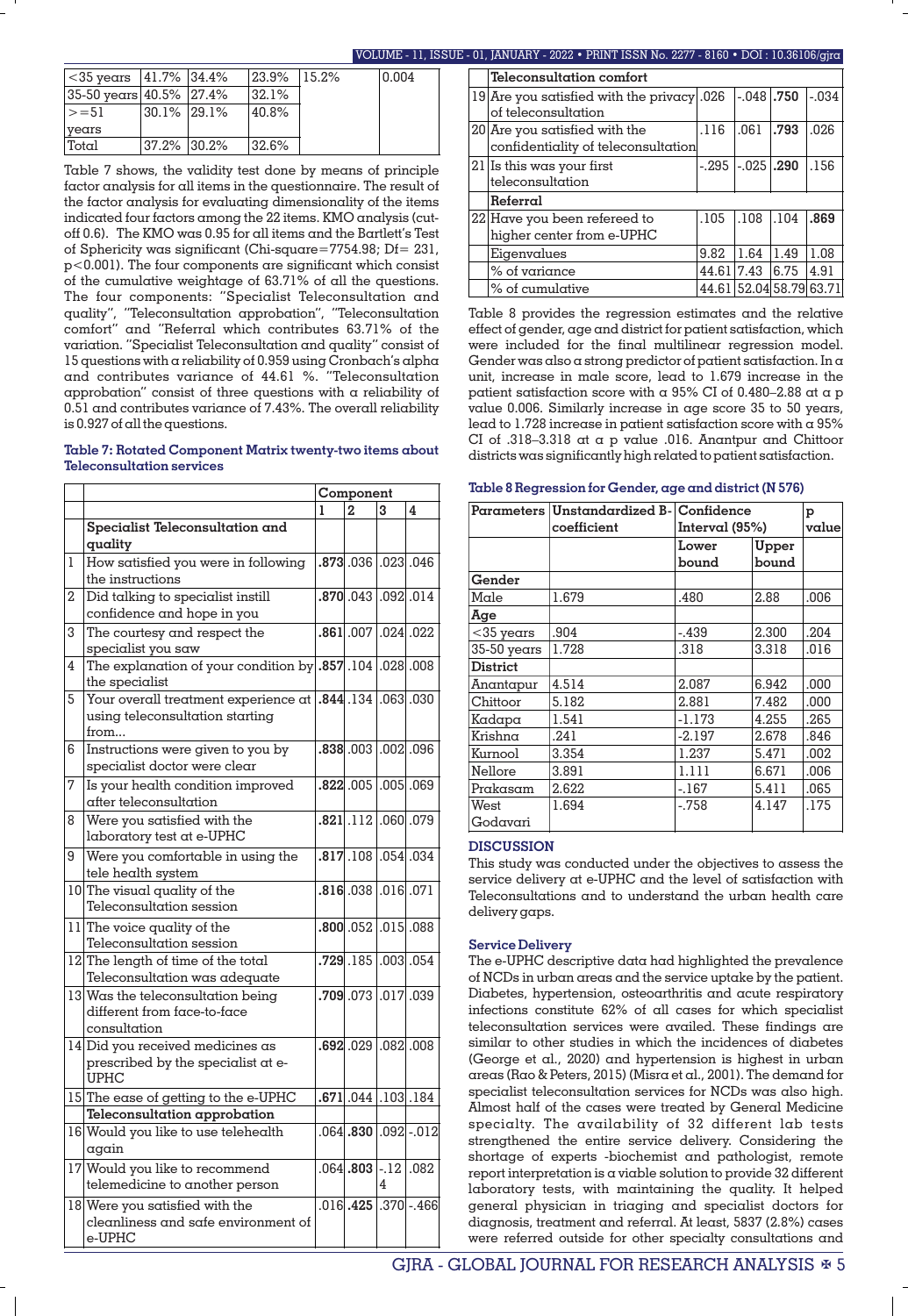### VOLUME - 11, ISSUE - 01, JANUARY - 2022 • PRINT ISSN No. 2277 - 8160 • DOI :

| $ $ < 35 years $ $ 41.7% $ $ 34.4%   |             | 23.9% 15.2% | 0.004 |
|--------------------------------------|-------------|-------------|-------|
| $ 35-50 \text{ years} 40.5\% 27.4\%$ |             | 32.1%       |       |
| $\ge$ = 51                           | 30.1% 29.1% | 40.8%       |       |
| vears                                |             |             |       |
| Total                                | 37.2% 30.2% | 32.6%       |       |

Table 7 shows, the validity test done by means of principle factor analysis for all items in the questionnaire. The result of the factor analysis for evaluating dimensionality of the items indicated four factors among the 22 items. KMO analysis (cutoff 0.6). The KMO was 0.95 for all items and the Bartlett's Test of Sphericity was significant (Chi-square=7754.98; Df= 231, p<0.001). The four components are signicant which consist of the cumulative weightage of 63.71% of all the questions. The four components: "Specialist Teleconsultation and quality", "Teleconsultation approbation", "Teleconsultation comfort" and "Referral which contributes 63.71% of the variation. "Specialist Teleconsultation and quality" consist of 15 questions with a reliability of 0.959 using Cronbach's alpha and contributes variance of 44.61 %. "Teleconsultation approbation" consist of three questions with a reliability of 0.51 and contributes variance of 7.43%. The overall reliability is 0.927 of all the questions.

### **Table 7: Rotated Component Matrix twenty-two items about Teleconsultation services**

|   |                                                                                                   | Component |                               |   |                       |
|---|---------------------------------------------------------------------------------------------------|-----------|-------------------------------|---|-----------------------|
|   |                                                                                                   | 1         | $\overline{2}$                | 3 | 4                     |
|   | Specialist Teleconsultation and<br>quality                                                        |           |                               |   |                       |
| 1 | How satisfied you were in following<br>the instructions                                           |           | .873.036.023.046              |   |                       |
| 2 | Did talking to specialist instill<br>confidence and hope in you                                   |           | .870.043 .092 .014            |   |                       |
| 3 | The courtesy and respect the<br>specialist you saw                                                |           | .861.0071.0241.022            |   |                       |
| 4 | The explanation of your condition by .857.104.028.008<br>the specialist                           |           |                               |   |                       |
| 5 | Your overall treatment experience at  .844.134.063.030<br>using teleconsultation starting<br>from |           |                               |   |                       |
| 6 | Instructions were given to you by<br>specialist doctor were clear                                 |           | 838.003.002.096               |   |                       |
| 7 | Is your health condition improved<br>after teleconsultation                                       |           | .822.005   .005   .069        |   |                       |
| 8 | Were you satisfied with the<br>laboratory test at e-UPHC                                          |           | .821.112.060.079              |   |                       |
| 9 | Were you comfortable in using the<br>tele health system                                           |           | .817.108.054.034              |   |                       |
|   | 10 The visual quality of the<br>Teleconsultation session                                          |           | .816.038 .016 .071            |   |                       |
|   | 11 The voice quality of the<br>Teleconsultation session                                           |           | $.800$ , $.052$ $.015$ $.088$ |   |                       |
|   | 12 The length of time of the total<br>Teleconsultation was adequate                               |           | .729.185 .003 .054            |   |                       |
|   | 13 Was the teleconsultation being<br>different from face-to-face<br>consultation                  |           | .709.073.017.039              |   |                       |
|   | 14 Did you received medicines as<br>prescribed by the specialist at e-<br>UPHC                    |           | .692.029.082.008              |   |                       |
|   | 15 The ease of getting to the e-UPHC                                                              |           | $.671$ .044 .103 .184         |   |                       |
|   | Teleconsultation approbation                                                                      |           |                               |   |                       |
|   | 16 Would you like to use telehealth<br>again                                                      |           |                               |   | .064 .830 .092 -.012  |
|   | 17 Would you like to recommend<br>telemedicine to another person                                  |           | .064 .803 .12                 | 4 | .082                  |
|   | 18 Were you satisfied with the<br>cleanliness and safe environment of<br>e-UPHC                   |           |                               |   | $.016$ .425 .370 .466 |

| Teleconsultation comfort                                             |         |                |                   |         |  |  |
|----------------------------------------------------------------------|---------|----------------|-------------------|---------|--|--|
| 19 Are you satisfied with the privacy 026<br>of teleconsultation     |         | $-.048$ .750   |                   | $-.034$ |  |  |
| 20 Are you satisfied with the<br>confidentiality of teleconsultation | .116    | .061           | .793              | .026    |  |  |
| 21 Is this was your first<br>teleconsultation                        | $-.295$ | $-.025$ $.290$ |                   | .156    |  |  |
| Referral                                                             |         |                |                   |         |  |  |
| 22 Have you been refereed to<br>higher center from e-UPHC            | .105    | .108           | .104              | .869    |  |  |
| Eigenvalues                                                          | 9.82    | 1.64           | 1.49              | 1.08    |  |  |
| % of variance                                                        | 44.61   | 7.43           | 6.75              | 4.91    |  |  |
| % of cumulative                                                      | 44.61   |                | 52.04 58.79 63.71 |         |  |  |

Table 8 provides the regression estimates and the relative effect of gender, age and district for patient satisfaction, which were included for the final multilinear regression model. Gender was also a strong predictor of patient satisfaction. In a unit, increase in male score, lead to 1.679 increase in the patient satisfaction score with a  $95\%$  CI of 0.480–2.88 at a p value 0.006. Similarly increase in age score 35 to 50 years, lead to 1.728 increase in patient satisfaction score with a  $95\%$ CI of .318–3.318 at a p value .016. Anantpur and Chittoor districts was signicantly high related to patient satisfaction.

| Table 8 Regression for Gender, age and district (N 576) |  |  |  |
|---------------------------------------------------------|--|--|--|
|---------------------------------------------------------|--|--|--|

|                 | Parameters   Unstandardized B-   Confidence<br>coefficient | Interval (95%) |                | p<br>value |
|-----------------|------------------------------------------------------------|----------------|----------------|------------|
|                 |                                                            | Lower<br>bound | Upper<br>bound |            |
| Gender          |                                                            |                |                |            |
| Male            | 1.679                                                      | .480           | 2.88           | .006       |
| Age             |                                                            |                |                |            |
| $<$ 35 years    | .904                                                       | $-.439$        | 2.300          | .204       |
| $35-50$ years   | 1.728                                                      | .318           | 3.318          | .016       |
| <b>District</b> |                                                            |                |                |            |
| Anantapur       | 4.514                                                      | 2.087          | 6.942          | .000       |
| Chittoor        | 5.182                                                      | 2.881          | 7.482          | .000       |
| Kadapa          | 1.541                                                      | $-1.173$       | 4.255          | .265       |
| Krishna         | .241                                                       | -2.197         | 2.678          | .846       |
| Kurnool         | 3.354                                                      | 1.237          | 5.471          | .002       |
| Nellore         | 3.891                                                      | 1.111          | 6.671          | .006       |
| Prakasam        | 2.622                                                      | $-.167$        | 5.411          | .065       |
| West            | 1.694                                                      | -.758          | 4.147          | .175       |
| Godavari        |                                                            |                |                |            |

#### **DISCUSSION**

This study was conducted under the objectives to assess the service delivery at e-UPHC and the level of satisfaction with Teleconsultations and to understand the urban health care delivery gaps.

### **Service Delivery**

The e-UPHC descriptive data had highlighted the prevalence of NCDs in urban areas and the service uptake by the patient. Diabetes, hypertension, osteoarthritis and acute respiratory infections constitute 62% of all cases for which specialist teleconsultation services were availed. These findings are similar to other studies in which the incidences of diabetes (George et al., 2020) and hypertension is highest in urban areas (Rao & Peters, 2015) (Misra et al., 2001). The demand for specialist teleconsultation services for NCDs was also high. Almost half of the cases were treated by General Medicine specialty. The availability of 32 different lab tests strengthened the entire service delivery. Considering the shortage of experts -biochemist and pathologist, remote report interpretation is a viable solution to provide 32 different laboratory tests, with maintaining the quality. It helped general physician in triaging and specialist doctors for diagnosis, treatment and referral. At least, 5837 (2.8%) cases were referred outside for other specialty consultations and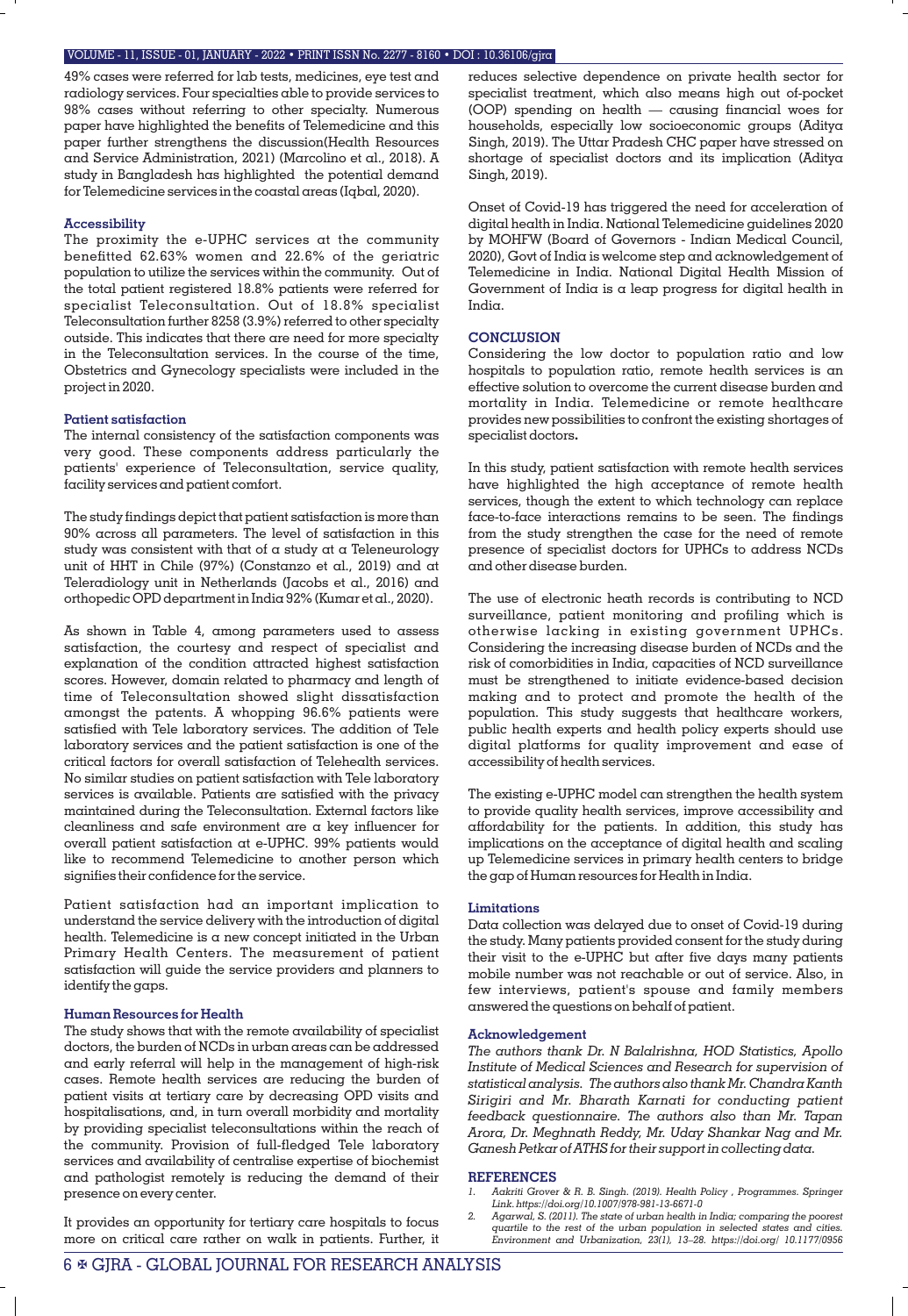49% cases were referred for lab tests, medicines, eye test and radiology services. Four specialties able to provide services to 98% cases without referring to other specialty. Numerous paper have highlighted the benefits of Telemedicine and this paper further strengthens the discussion(Health Resources and Service Administration, 2021) (Marcolino et al., 2018). A study in Bangladesh has highlighted the potential demand for Telemedicine services in the coastal areas (Iqbal, 2020).

#### **Accessibility**

The proximity the e-UPHC services at the community benetted 62.63% women and 22.6% of the geriatric population to utilize the services within the community. Out of the total patient registered 18.8% patients were referred for specialist Teleconsultation. Out of 18.8% specialist Teleconsultation further 8258 (3.9%) referred to other specialty outside. This indicates that there are need for more specialty in the Teleconsultation services. In the course of the time, Obstetrics and Gynecology specialists were included in the project in 2020.

### **Patient satisfaction**

The internal consistency of the satisfaction components was very good. These components address particularly the patients' experience of Teleconsultation, service quality, facility services and patient comfort.

The study findings depict that patient satisfaction is more than 90% across all parameters. The level of satisfaction in this study was consistent with that of a study at a Teleneurology unit of HHT in Chile (97%) (Constanzo et al., 2019) and at Teleradiology unit in Netherlands (Jacobs et al., 2016) and orthopedic OPD department in India 92% (Kumar et al., 2020).

As shown in Table 4, among parameters used to assess satisfaction, the courtesy and respect of specialist and explanation of the condition attracted highest satisfaction scores. However, domain related to pharmacy and length of time of Teleconsultation showed slight dissatisfaction amongst the patents. A whopping 96.6% patients were satisfied with Tele laboratory services. The addition of Tele laboratory services and the patient satisfaction is one of the critical factors for overall satisfaction of Telehealth services. No similar studies on patient satisfaction with Tele laboratory services is available. Patients are satisfied with the privacy maintained during the Teleconsultation. External factors like  $cleanliness$  and safe environment are a key influencer for overall patient satisfaction at e-UPHC. 99% patients would like to recommend Telemedicine to another person which signifies their confidence for the service.

Patient satisfaction had an important implication to understand the service delivery with the introduction of digital health. Telemedicine is a new concept initiated in the Urban Primary Health Centers. The measurement of patient satisfaction will guide the service providers and planners to identify the gaps.

### **Human Resources for Health**

The study shows that with the remote availability of specialist doctors, the burden of NCDs in urban areas can be addressed and early referral will help in the management of high-risk cases. Remote health services are reducing the burden of patient visits at tertiary care by decreasing OPD visits and hospitalisations, and, in turn overall morbidity and mortality by providing specialist teleconsultations within the reach of the community. Provision of full-fledged Tele laboratory services and availability of centralise expertise of biochemist and pathologist remotely is reducing the demand of their presence on every center.

It provides an opportunity for tertiary care hospitals to focus more on critical care rather on walk in patients. Further, it

reduces selective dependence on private health sector for specialist treatment, which also means high out of-pocket (OOP) spending on health  $-$  causing financial woes for households, especially low socioeconomic groups (Aditya Singh, 2019). The Uttar Pradesh CHC paper have stressed on shortage of specialist doctors and its implication (Aditya Singh, 2019).

Onset of Covid-19 has triggered the need for acceleration of digital health in India. National Telemedicine guidelines 2020 by MOHFW (Board of Governors - Indian Medical Council, 2020), Govt of India is welcome step and acknowledgement of Telemedicine in India. National Digital Health Mission of Government of India is a leap progress for digital health in India.

### **CONCLUSION**

Considering the low doctor to population ratio and low hospitals to population ratio, remote health services is an effective solution to overcome the current disease burden and mortality in India. Telemedicine or remote healthcare provides new possibilities to confront the existing shortages of specialist doctors**.**

In this study, patient satisfaction with remote health services have highlighted the high acceptance of remote health services, though the extent to which technology can replace face-to-face interactions remains to be seen. The findings from the study strengthen the case for the need of remote presence of specialist doctors for UPHCs to address NCDs and other disease burden.

The use of electronic heath records is contributing to NCD surveillance, patient monitoring and profiling which is otherwise lacking in existing government UPHCs. Considering the increasing disease burden of NCDs and the risk of comorbidities in India, capacities of NCD surveillance must be strengthened to initiate evidence-based decision making and to protect and promote the health of the population. This study suggests that healthcare workers, public health experts and health policy experts should use digital platforms for quality improvement and ease of accessibility of health services.

The existing e-UPHC model can strengthen the health system to provide quality health services, improve accessibility and affordability for the patients. In addition, this study has implications on the acceptance of digital health and scaling up Telemedicine services in primary health centers to bridge the gap of Human resources for Health in India.

# **Limitations**

Data collection was delayed due to onset of Covid-19 during the study. Many patients provided consent for the study during their visit to the e-UPHC but after five days many patients mobile number was not reachable or out of service. Also, in few interviews, patient's spouse and family members answered the questions on behalf of patient.

### **Acknowledgement**

*The authors thank Dr. N Balalrishna, HOD Statistics, Apollo Institute of Medical Sciences and Research for supervision of statistical analysis. The authors also thank Mr. Chandra Kanth Sirigiri and Mr. Bharath Karnati for conducting patient feedback questionnaire. The authors also than Mr. Tapan Arora, Dr. Meghnath Reddy, Mr. Uday Shankar Nag and Mr. Ganesh Petkar of ATHS for their support in collecting data.* 

### **REFERENCES**

- 1. Aakriti Grover & R. B. Singh. (2019). Health Policy , Programmes. Springer<br>1. Link. https://doi.org/10.1007/978-981-13-6671-0<br>2. Agarwal, S. (2011). The state of urban health in India; comparing the poorest
- *quartile to the rest of the urban population in selected states and cities. Environment and Urbanization, 23(1), 13–28. https://doi.org/ 10.1177/0956*